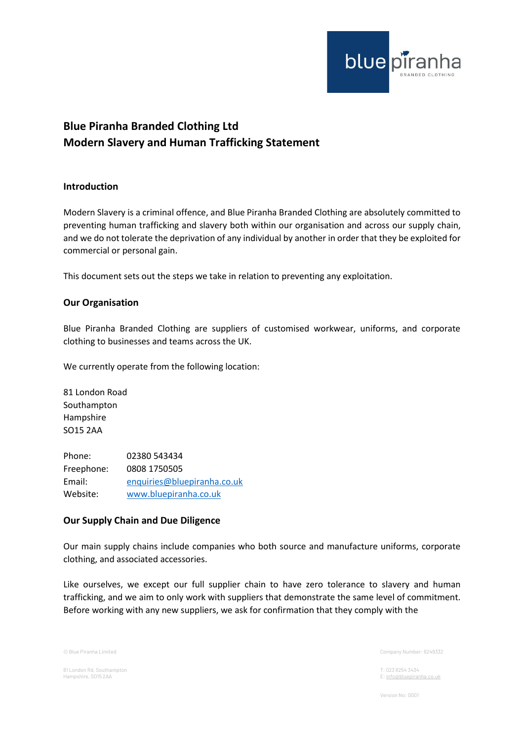

# **Blue Piranha Branded Clothing Ltd Modern Slavery and Human Trafficking Statement**

## **Introduction**

Modern Slavery is a criminal offence, and Blue Piranha Branded Clothing are absolutely committed to preventing human trafficking and slavery both within our organisation and across our supply chain, and we do not tolerate the deprivation of any individual by another in order that they be exploited for commercial or personal gain.

This document sets out the steps we take in relation to preventing any exploitation.

## **Our Organisation**

Blue Piranha Branded Clothing are suppliers of customised workwear, uniforms, and corporate clothing to businesses and teams across the UK.

We currently operate from the following location:

81 London Road Southampton Hampshire SO15 2AA

Phone: 02380 543434 Freephone: 0808 1750505 Email: [enquiries@bluepiranha.co.uk](mailto:enquiries@bluepiranha.co.uk) Website: [www.bluepiranha.co.uk](http://www.bluepiranha.co.uk/)

#### **Our Supply Chain and Due Diligence**

Our main supply chains include companies who both source and manufacture uniforms, corporate clothing, and associated accessories.

Like ourselves, we except our full supplier chain to have zero tolerance to slavery and human trafficking, and we aim to only work with suppliers that demonstrate the same level of commitment. Before working with any new suppliers, we ask for confirmation that they comply with the

81 London Rd, Southampton T: 023 8254 3434

© Blue Piranha Limited Company Number: 6249332

E[: info@bluepiranha.co.uk](mailto:info@bluepiranha.co.uk)

Version No: 0001